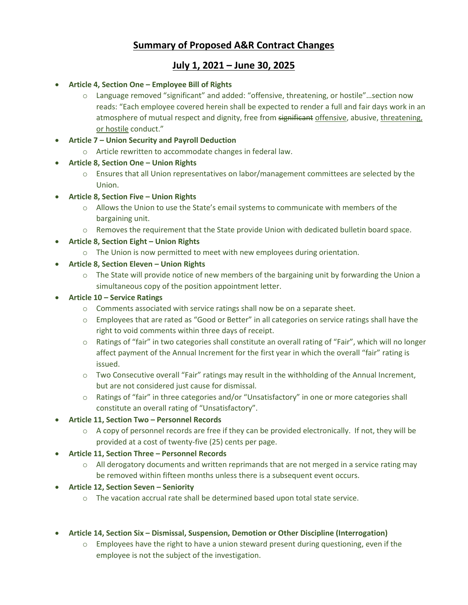# **Summary of Proposed A&R Contract Changes**

## **July 1, 2021 – June 30, 2025**

- **Article 4, Section One – Employee Bill of Rights**
	- o Language removed "significant" and added: "offensive, threatening, or hostile"…section now reads: "Each employee covered herein shall be expected to render a full and fair days work in an atmosphere of mutual respect and dignity, free from significant offensive, abusive, threatening, or hostile conduct."
- **Article 7 – Union Security and Payroll Deduction**
	- o Article rewritten to accommodate changes in federal law.
- **Article 8, Section One – Union Rights**
	- o Ensures that all Union representatives on labor/management committees are selected by the Union.
- **Article 8, Section Five – Union Rights**
	- o Allows the Union to use the State's email systems to communicate with members of the bargaining unit.
	- o Removes the requirement that the State provide Union with dedicated bulletin board space.
- **Article 8, Section Eight – Union Rights**
	- o The Union is now permitted to meet with new employees during orientation.
- **Article 8, Section Eleven – Union Rights**
	- $\circ$  The State will provide notice of new members of the bargaining unit by forwarding the Union a simultaneous copy of the position appointment letter.
- **Article 10 – Service Ratings**
	- $\circ$  Comments associated with service ratings shall now be on a separate sheet.
	- o Employees that are rated as "Good or Better" in all categories on service ratings shall have the right to void comments within three days of receipt.
	- o Ratings of "fair" in two categories shall constitute an overall rating of "Fair", which will no longer affect payment of the Annual Increment for the first year in which the overall "fair" rating is issued.
	- $\circ$  Two Consecutive overall "Fair" ratings may result in the withholding of the Annual Increment, but are not considered just cause for dismissal.
	- o Ratings of "fair" in three categories and/or "Unsatisfactory" in one or more categories shall constitute an overall rating of "Unsatisfactory".

### **Article 11, Section Two – Personnel Records**

- $\circ$  A copy of personnel records are free if they can be provided electronically. If not, they will be provided at a cost of twenty-five (25) cents per page.
- **Article 11, Section Three – Personnel Records**
	- $\circ$  All derogatory documents and written reprimands that are not merged in a service rating may be removed within fifteen months unless there is a subsequent event occurs.
- **Article 12, Section Seven – Seniority** 
	- $\circ$  The vacation accrual rate shall be determined based upon total state service.
- **Article 14, Section Six – Dismissal, Suspension, Demotion or Other Discipline (Interrogation)**
	- $\circ$  Employees have the right to have a union steward present during questioning, even if the employee is not the subject of the investigation.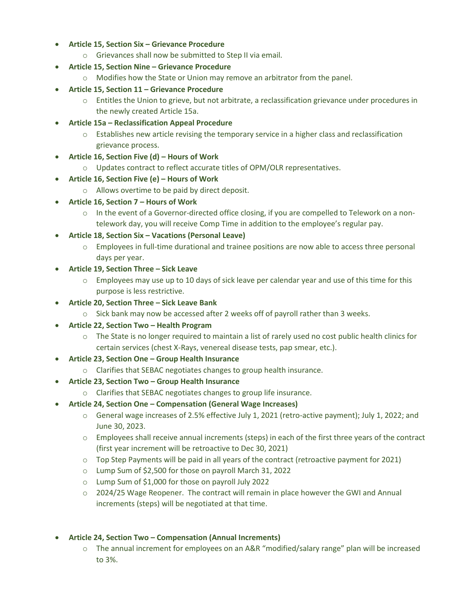- **Article 15, Section Six – Grievance Procedure**
	- o Grievances shall now be submitted to Step II via email.
- **Article 15, Section Nine – Grievance Procedure**
	- o Modifies how the State or Union may remove an arbitrator from the panel.
- **Article 15, Section 11 – Grievance Procedure**
	- $\circ$  Entitles the Union to grieve, but not arbitrate, a reclassification grievance under procedures in the newly created Article 15a.
- **Article 15a – Reclassification Appeal Procedure**
	- o Establishes new article revising the temporary service in a higher class and reclassification grievance process.
- **Article 16, Section Five (d) – Hours of Work**
	- o Updates contract to reflect accurate titles of OPM/OLR representatives.
- **Article 16, Section Five (e) – Hours of Work**
	- o Allows overtime to be paid by direct deposit.
- **Article 16, Section 7 – Hours of Work**
	- o In the event of a Governor-directed office closing, if you are compelled to Telework on a nontelework day, you will receive Comp Time in addition to the employee's regular pay.
- **Article 18, Section Six – Vacations (Personal Leave)**
	- $\circ$  Employees in full-time durational and trainee positions are now able to access three personal days per year.
- **Article 19, Section Three – Sick Leave**
	- $\circ$  Employees may use up to 10 days of sick leave per calendar year and use of this time for this purpose is less restrictive.
- **Article 20, Section Three – Sick Leave Bank**
	- $\circ$  Sick bank may now be accessed after 2 weeks off of payroll rather than 3 weeks.
- **Article 22, Section Two – Health Program**
	- o The State is no longer required to maintain a list of rarely used no cost public health clinics for certain services (chest X-Rays, venereal disease tests, pap smear, etc.).
- **Article 23, Section One – Group Health Insurance**
	- o Clarifies that SEBAC negotiates changes to group health insurance.
- **Article 23, Section Two – Group Health Insurance**
	- o Clarifies that SEBAC negotiates changes to group life insurance.
- **Article 24, Section One – Compensation (General Wage Increases)**
	- o General wage increases of 2.5% effective July 1, 2021 (retro-active payment); July 1, 2022; and June 30, 2023.
	- o Employees shall receive annual increments (steps) in each of the first three years of the contract (first year increment will be retroactive to Dec 30, 2021)
	- $\circ$  Top Step Payments will be paid in all years of the contract (retroactive payment for 2021)
	- o Lump Sum of \$2,500 for those on payroll March 31, 2022
	- o Lump Sum of \$1,000 for those on payroll July 2022
	- $\circ$  2024/25 Wage Reopener. The contract will remain in place however the GWI and Annual increments (steps) will be negotiated at that time.
- **Article 24, Section Two – Compensation (Annual Increments)**
	- o The annual increment for employees on an A&R "modified/salary range" plan will be increased to 3%.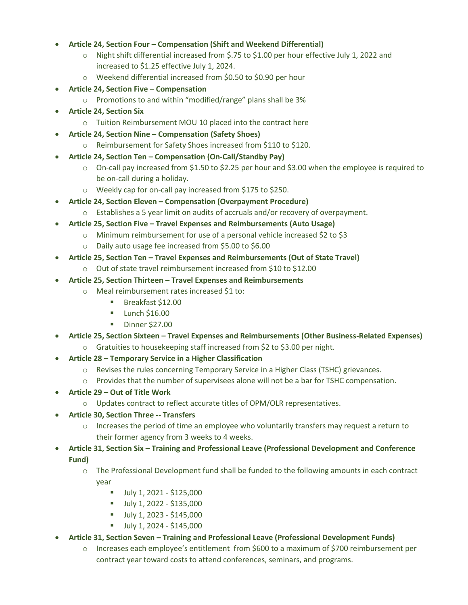### **Article 24, Section Four – Compensation (Shift and Weekend Differential)**

- o Night shift differential increased from \$.75 to \$1.00 per hour effective July 1, 2022 and increased to \$1.25 effective July 1, 2024.
- o Weekend differential increased from \$0.50 to \$0.90 per hour
- **Article 24, Section Five – Compensation** 
	- o Promotions to and within "modified/range" plans shall be 3%
- **Article 24, Section Six**
	- o Tuition Reimbursement MOU 10 placed into the contract here
- **Article 24, Section Nine – Compensation (Safety Shoes)**
	- o Reimbursement for Safety Shoes increased from \$110 to \$120.
- **Article 24, Section Ten – Compensation (On-Call/Standby Pay)**
	- $\circ$  On-call pay increased from \$1.50 to \$2.25 per hour and \$3.00 when the employee is required to be on-call during a holiday.
	- o Weekly cap for on-call pay increased from \$175 to \$250.
- **Article 24, Section Eleven – Compensation (Overpayment Procedure)**
	- o Establishes a 5 year limit on audits of accruals and/or recovery of overpayment.
- **Article 25, Section Five – Travel Expenses and Reimbursements (Auto Usage)**
	- o Minimum reimbursement for use of a personal vehicle increased \$2 to \$3
	- o Daily auto usage fee increased from \$5.00 to \$6.00
- **Article 25, Section Ten – Travel Expenses and Reimbursements (Out of State Travel)**
	- o Out of state travel reimbursement increased from \$10 to \$12.00
- **Article 25, Section Thirteen – Travel Expenses and Reimbursements**
	- o Meal reimbursement rates increased \$1 to:
		- Breakfast \$12.00
		- $\blacksquare$  Lunch \$16.00
		- **Dinner \$27.00**
- **Article 25, Section Sixteen – Travel Expenses and Reimbursements (Other Business-Related Expenses)**
	- o Gratuities to housekeeping staff increased from \$2 to \$3.00 per night.
- **Article 28 – Temporary Service in a Higher Classification**
	- o Revises the rules concerning Temporary Service in a Higher Class (TSHC) grievances.
	- o Provides that the number of supervisees alone will not be a bar for TSHC compensation.
- **Article 29 – Out of Title Work**
	- o Updates contract to reflect accurate titles of OPM/OLR representatives.
- **Article 30, Section Three -- Transfers**
	- $\circ$  Increases the period of time an employee who voluntarily transfers may request a return to their former agency from 3 weeks to 4 weeks.
- **Article 31, Section Six – Training and Professional Leave (Professional Development and Conference Fund)**
	- o The Professional Development fund shall be funded to the following amounts in each contract year
		- $-$  July 1, 2021 \$125,000
		- $-$  July 1, 2022 \$135,000
		- $-$  July 1, 2023 \$145,000
		- $-$  July 1, 2024 \$145,000
- **Article 31, Section Seven – Training and Professional Leave (Professional Development Funds)**
	- o Increases each employee's entitlement from \$600 to a maximum of \$700 reimbursement per contract year toward costs to attend conferences, seminars, and programs.